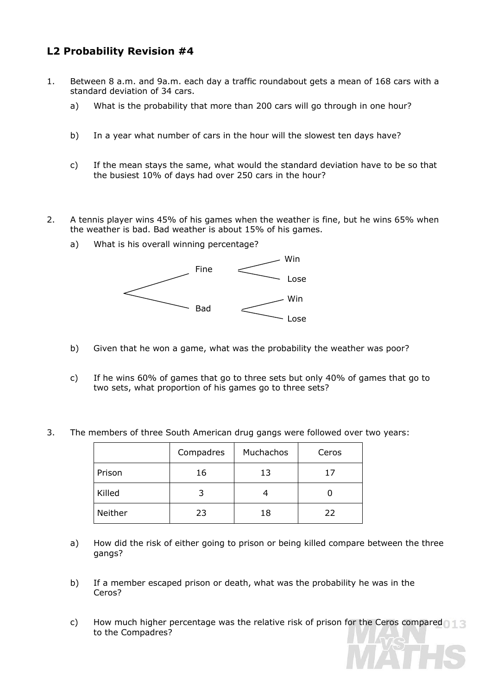## **L2 Probability Revision #4**

- 1. Between 8 a.m. and 9a.m. each day a traffic roundabout gets a mean of 168 cars with a standard deviation of 34 cars.
	- a) What is the probability that more than 200 cars will go through in one hour?
	- b) In a year what number of cars in the hour will the slowest ten days have?
	- c) If the mean stays the same, what would the standard deviation have to be so that the busiest 10% of days had over 250 cars in the hour?
- 2. A tennis player wins 45% of his games when the weather is fine, but he wins 65% when the weather is bad. Bad weather is about 15% of his games.
	- a) What is his overall winning percentage?



- b) Given that he won a game, what was the probability the weather was poor?
- c) If he wins 60% of games that go to three sets but only 40% of games that go to two sets, what proportion of his games go to three sets?
- 3. The members of three South American drug gangs were followed over two years:

|         | Compadres | Muchachos | Ceros |
|---------|-----------|-----------|-------|
| Prison  | 16        | 13        | ∕ ו   |
| Killed  |           |           |       |
| Neither | 23        | 18        | 22    |

- a) How did the risk of either going to prison or being killed compare between the three gangs?
- b) If a member escaped prison or death, what was the probability he was in the Ceros?
- c) How much higher percentage was the relative risk of prison for the Ceros compared to the Compadres?